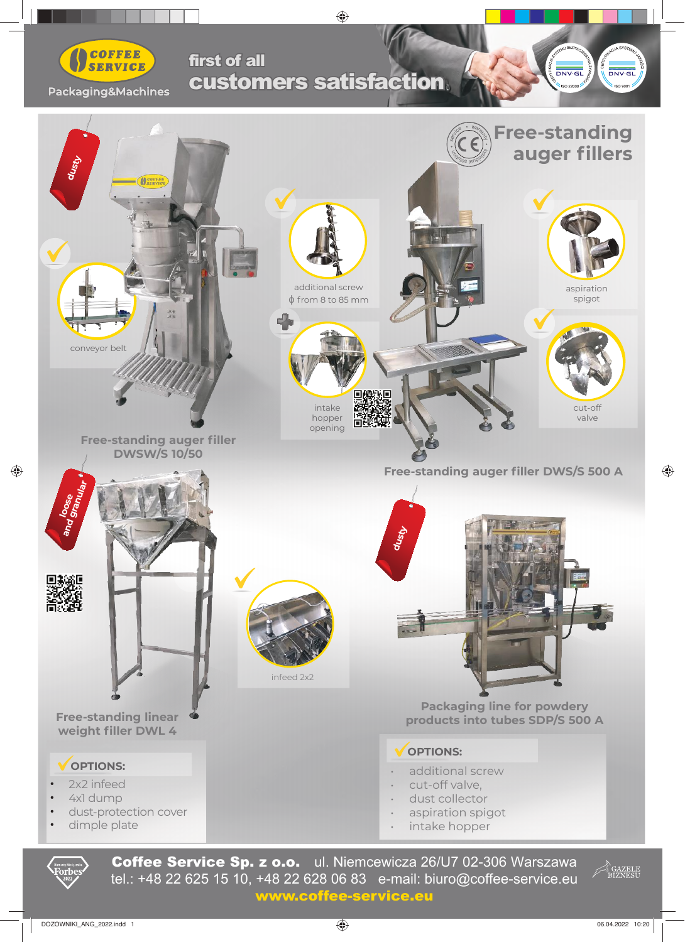

## customers satisfaction first of all

indyw  $\mathcal{L}$   $DNVGL$ 

 $DNV·G$ 





Coffee Service Sp. z o.o. ul. Niemcewicza 26/U7 02-306 Warszawa tel.: +48 22 625 15 10, +48 22 628 06 83 e-mail: biuro@coffee-service.eu tel.: +48 22 625 15 10, +48 22 628 06 83 e-mail: biuro@coffee-service.eu www.coffee-service.eu www.coffee-service.eu